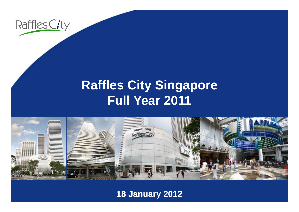

#### **R ffl Cit Si affles City Singapore Full Year 2011**



**18 January 2012**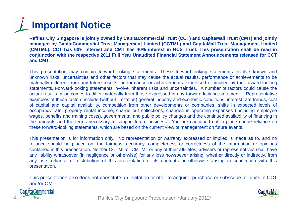# **Important Notice**

Raffles City Singapore is jointly owned by CapitaCommercial Trust (CCT) and CapitaMall Trust (CMT) and jointly managed by CapitaCommercial Trust Management Limited (CCTML) and CapitaMall Trust Management Limited (CMTML). CCT has 60% interest and CMT has 40% interest in RCS Trust. This presentation shall be read in conjunction with the respective 2011 Full Year Unaudited Financial Statement Announcements released for CCT **and CMT.**

This presentation may contain forward-looking statements. These forward-looking statements involve known and unknown risks, uncertainties and other factors that may cause the actual results, performance or achievements to be materially different from any future results, performance or achievements expressed or implied by the forward-looking statements. Forward-looking statements involve inherent risks and uncertainties. A number of factors could cause the actual results or outcomes to differ materially from those expressed in any forward-looking statement. Representative examples of these factors include (without limitation) general industry and economic conditions, interest rate trends, cost of capital and capital availability, competition from other developments or companies, shifts in expected levels of occupancy rate, property rental income, charge out collections, changes in operating expenses (including employee wages, benefits and training costs), governmental and public policy changes and the continued availability of financing in the amounts and the terms necessary to support future business. You are cautioned not to place undue reliance on these forward-looking statements, which are based on the current view of management on future events.

This presentation is for information only. No representation or warranty expressed or implied is made as to, and no reliance should be placed on, the fairness, accuracy, completeness or correctness of the information or opinions contained in this presentation. Neither CCTML or CMTML or any of their affiliates, advisers or representatives shall have any liability what soever (in negligence or otherwise) for any loss howsoever arising, whether directly or indirectly, from any use, reliance or distribution of this presentation or its contents or otherwise arising in connection with this presentation.

This presentation also does not constitute an invitation or offer to acquire, purchase or subscribe for units in CCT and/or CMT.



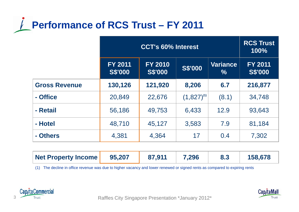

|                      | <b>CCT's 60% Interest</b>        |                                  |                 | <b>RCS Trust</b><br>100% |                                  |
|----------------------|----------------------------------|----------------------------------|-----------------|--------------------------|----------------------------------|
|                      | <b>FY 2011</b><br><b>S\$'000</b> | <b>FY 2010</b><br><b>S\$'000</b> | <b>S\$'000</b>  | <b>Variance</b><br>$\%$  | <b>FY 2011</b><br><b>S\$'000</b> |
| <b>Gross Revenue</b> | 130,126                          | 121,920                          | 8,206           | 6.7                      | 216,877                          |
| - Office             | 20,849                           | 22,676                           | $(1,827)^{(1)}$ | (8.1)                    | 34,748                           |
| - Retail             | 56,186                           | 49,753                           | 6,433           | 12.9                     | 93,643                           |
| - Hotel              | 48,710                           | 45,127                           | 3,583           | 7.9                      | 81,184                           |
| - Others             | 4,381                            | 4,364                            | 17              | 0.4                      | 7,302                            |

| 95,207<br>Net Property Income | 87,911 | 7,296 |  | 158,678 |
|-------------------------------|--------|-------|--|---------|
|-------------------------------|--------|-------|--|---------|

(1) The decline in office revenue was due to higher vacancy and lower renewed or signed rents as compared to expiring rents





Raffles City Singapore Presentation \*January 2012\* Raffles City Singapore Presentation \*January 2012\*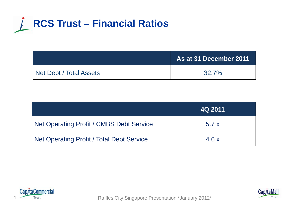

|                         | As at 31 December 2011 |
|-------------------------|------------------------|
| Net Debt / Total Assets | 32.7%                  |

|                                                  | 4Q 2011 |
|--------------------------------------------------|---------|
| <b>Net Operating Profit / CMBS Debt Service</b>  | 5.7x    |
| <b>Net Operating Profit / Total Debt Service</b> | 4.6x    |





Raffles City Singapore Presentation \*January 2012\* Raffles City Singapore Presentation \*January 2012\*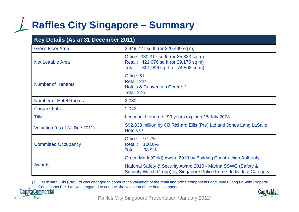### **Raffles City Singapore – Summary**

| Key Details (As at 31 December 2011) |                                                                                                                                       |  |  |
|--------------------------------------|---------------------------------------------------------------------------------------------------------------------------------------|--|--|
| <b>Gross Floor Area</b>              | 3,449,727 sq ft (or 320,490 sq m)                                                                                                     |  |  |
| <b>Net Lettable Area</b>             | Office: 380,317 sq ft (or 35,333 sq m)<br>Retail: 421,676 sq ft (or 39,175 sq m)<br>801,996 sq ft (or 74,508 sq m)<br>Total:          |  |  |
| <b>Number of Tenants</b>             | Office: 51<br>Retail: 224<br><b>Hotels &amp; Convention Centre: 1</b><br><b>Total: 276</b>                                            |  |  |
| <b>Number of Hotel Rooms</b>         | 2,030                                                                                                                                 |  |  |
| <b>Carpark Lots</b>                  | 1,043                                                                                                                                 |  |  |
| <b>Title</b>                         | Leasehold tenure of 99 years expiring 15 July 2078                                                                                    |  |  |
| Valuation (as at 31 Dec 2011)        | S\$2,833 million by CB Richard Ellis (Pte) Ltd and Jones Lang LaSalle<br>Hotels <sup>(1)</sup>                                        |  |  |
| <b>Committed Occupancy</b>           | Office:<br>97.7%<br><b>Retail:</b><br>100.0%<br>Total:<br>98.9%                                                                       |  |  |
|                                      | Green Mark (Gold) Award 2010 by Building Construction Authority                                                                       |  |  |
| <b>Awards</b>                        | National Safety & Security Award 2010 - Marina SSWG (Safety &<br>Security Watch Group) by Singapore Police Force- Individual Category |  |  |

(1) CB Richard Ellis (Pte) Ltd was engaged to conduct the valuation of the retail and office components and Jones Lang LaSalle Property Consultants Pte. Ltd. was engaged to conduct the valuation of the hotel component.<br>Cap/taCommercial

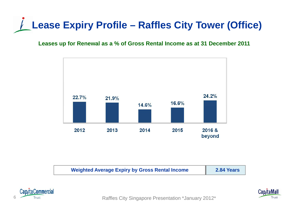### **Lease Expiry Profile – Raffles City Tower (Office)**

#### **Leases up for Renewal as a % of Gross Rental Income as at 31 December 2011**









Trust Trust **Raffles City Singapore Presentation \*January 2012\***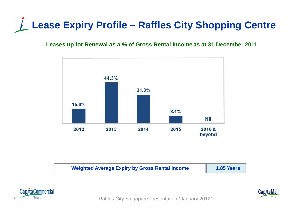## **Lease Expiry Profile – Raffles City Shopping Centre**

#### **Leases up for Renewal as a % of Gross Rental Income as at 31 December 2011**



| 1.85 Years<br><b>Weighted Average Expiry by Gross Rental Income</b> |
|---------------------------------------------------------------------|
|---------------------------------------------------------------------|



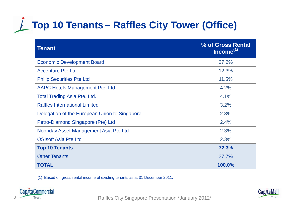## **Top 10 Tenants – Raffles City Tower (Office)**

| <b>Tenant</b>                                 | % of Gross Rental<br>Income <sup>(1)</sup> |
|-----------------------------------------------|--------------------------------------------|
| <b>Economic Development Board</b>             | 27.2%                                      |
| <b>Accenture Pte Ltd</b>                      | 12.3%                                      |
| <b>Philip Securities Pte Ltd</b>              | 11.5%                                      |
| AAPC Hotels Management Pte. Ltd.              | 4.2%                                       |
| <b>Total Trading Asia Pte. Ltd.</b>           | 4.1%                                       |
| <b>Raffles International Limited</b>          | 3.2%                                       |
| Delegation of the European Union to Singapore | 2.8%                                       |
| Petro-Diamond Singapore (Pte) Ltd             | 2.4%                                       |
| Noonday Asset Management Asia Pte Ltd         | 2.3%                                       |
| <b>OSIsoft Asia Pte Ltd</b>                   | 2.3%                                       |
| <b>Top 10 Tenants</b>                         | 72.3%                                      |
| <b>Other Tenants</b>                          | 27.7%                                      |
| <b>TOTAL</b>                                  | 100.0%                                     |

(1) Based on gross rental income of existing tenants as at 31 December 2011 2011.



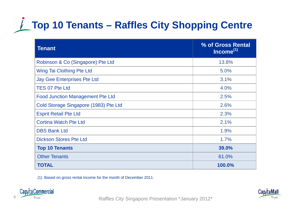## **★ Top 10 Tenants – Raffles City Shopping Centre**

| <b>Tenant</b>                           | % of Gross Rental<br>Income <sup>(1)</sup> |
|-----------------------------------------|--------------------------------------------|
| Robinson & Co (Singapore) Pte Ltd       | 13.8%                                      |
| Wing Tai Clothing Pte Ltd               | 5.0%                                       |
| <b>Jay Gee Enterprises Pte Ltd</b>      | 3.1%                                       |
| <b>TES 07 Pte Ltd</b>                   | 4.0%                                       |
| <b>Food Junction Management Pte Ltd</b> | 2.5%                                       |
| Cold Storage Singapore (1983) Pte Ltd   | 2.6%                                       |
| <b>Esprit Retail Pte Ltd</b>            | 2.3%                                       |
| <b>Cortina Watch Pte Ltd</b>            | 2.1%                                       |
| <b>DBS Bank Ltd</b>                     | 1.9%                                       |
| <b>Dickson Stores Pte Ltd</b>           | 1.7%                                       |
| <b>Top 10 Tenants</b>                   | 39.0%                                      |
| <b>Other Tenants</b>                    | 61.0%                                      |
| <b>TOTAL</b>                            | 100.0%                                     |

(1) Based on gross rental income for the month of December 2011.



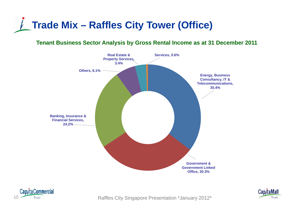

#### **Tenant Business Sector Analysis by Gross Rental Income as at 31 December 2011**







10 Trust Trust **Raffles City Singapore Presentation \*January 2012\***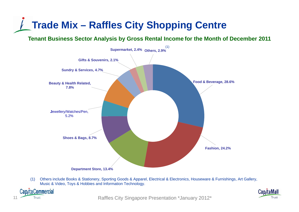### **Trade Mix – Raffles City Shopping Centre**

**Tenant Business Sector Analysis by Gross Rental Income for the Month of December 2011**



(1) Others include Books & Stationery, Sporting Goods & Apparel, Electrical & Electronics, Houseware & Furnishings, Art Gallery, Music & Video, Toys & Hobbies and Information Technology.



11 Trust Trust **Trust** Raffles City Singapore Presentation \*January 2012\*